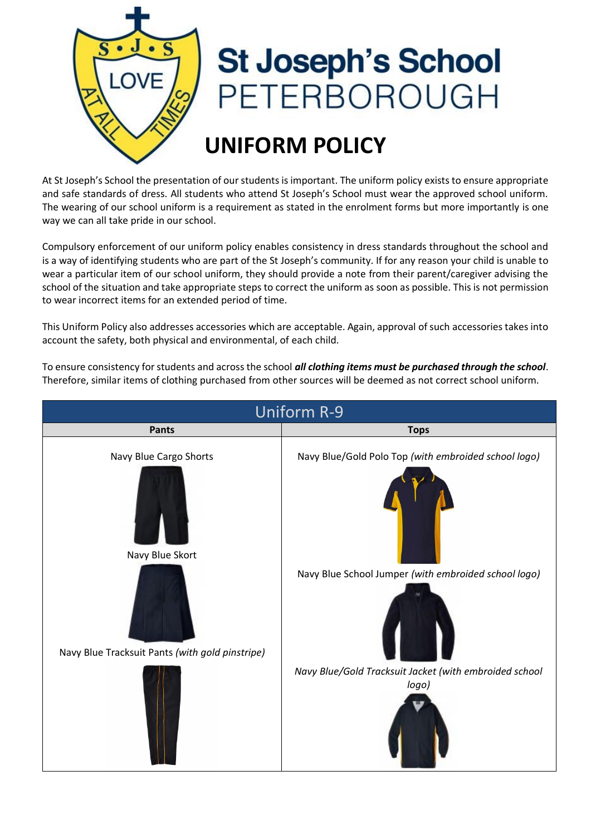

## **St Joseph's School** ETERBOROUGH

## **UNIFORM POLICY**

At St Joseph's School the presentation of our students is important. The uniform policy exists to ensure appropriate and safe standards of dress. All students who attend St Joseph's School must wear the approved school uniform. The wearing of our school uniform is a requirement as stated in the enrolment forms but more importantly is one way we can all take pride in our school.

Compulsory enforcement of our uniform policy enables consistency in dress standards throughout the school and is a way of identifying students who are part of the St Joseph's community. If for any reason your child is unable to wear a particular item of our school uniform, they should provide a note from their parent/caregiver advising the school of the situation and take appropriate steps to correct the uniform as soon as possible. This is not permission to wear incorrect items for an extended period of time.

This Uniform Policy also addresses accessories which are acceptable. Again, approval of such accessories takes into account the safety, both physical and environmental, of each child.

To ensure consistency for students and across the school *all clothing items must be purchased through the school*. Therefore, similar items of clothing purchased from other sources will be deemed as not correct school uniform.

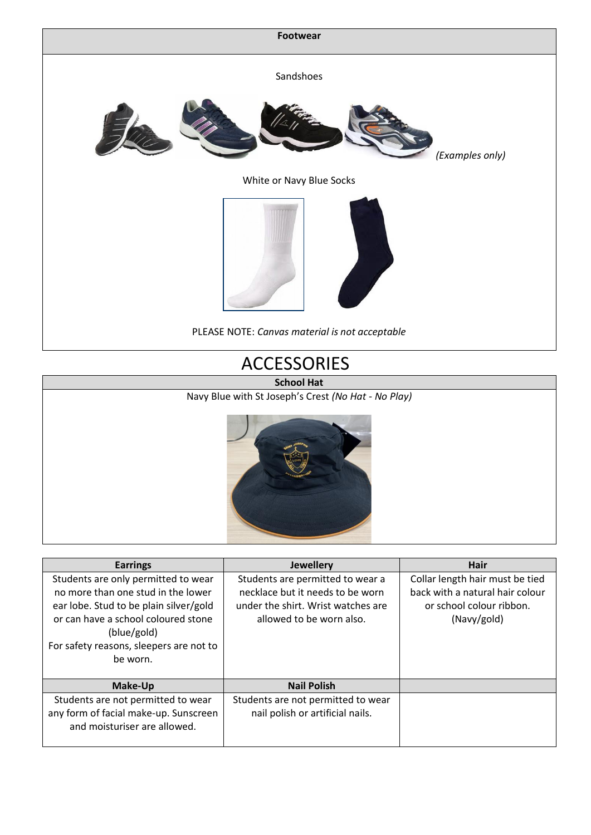

## ACCESSORIES



| <b>Earrings</b>                                                                                                                                                                                                                  | <b>Jewellery</b>                                                                                                                       | Hair                                                                                                          |
|----------------------------------------------------------------------------------------------------------------------------------------------------------------------------------------------------------------------------------|----------------------------------------------------------------------------------------------------------------------------------------|---------------------------------------------------------------------------------------------------------------|
| Students are only permitted to wear<br>no more than one stud in the lower<br>ear lobe. Stud to be plain silver/gold<br>or can have a school coloured stone<br>(blue/gold)<br>For safety reasons, sleepers are not to<br>be worn. | Students are permitted to wear a<br>necklace but it needs to be worn<br>under the shirt. Wrist watches are<br>allowed to be worn also. | Collar length hair must be tied<br>back with a natural hair colour<br>or school colour ribbon.<br>(Navy/gold) |
| Make-Up                                                                                                                                                                                                                          | <b>Nail Polish</b>                                                                                                                     |                                                                                                               |
| Students are not permitted to wear<br>any form of facial make-up. Sunscreen<br>and moisturiser are allowed.                                                                                                                      | Students are not permitted to wear<br>nail polish or artificial nails.                                                                 |                                                                                                               |